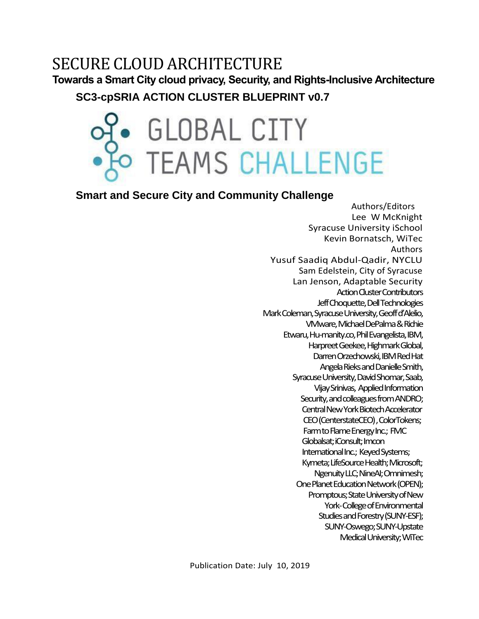# SECURE CLOUD ARCHITECTURE

**Towards a Smart City cloud privacy, Security, and Rights-Inclusive Architecture**

**SC3-cpSRIA ACTION CLUSTER BLUEPRINT v0.7**

# • GLOBAL CITY<br>• TEAMS CHALLENGE

# **Smart and Secure City and Community Challenge**

 Authors/Editors Lee W McKnight Syracuse University iSchool Kevin Bornatsch, WiTec Authors Yusuf Saadiq Abdul-Qadir, NYCLU Sam Edelstein, City of Syracuse Lan Jenson, Adaptable Security Action Cluster Contributors Jeff Choquette, Dell Technologies Mark Coleman, Syracuse University,Geoff d'Alelio, VMware, Michael DePalma & Richie Etwaru, Hu-manity.co, Phil Evangelista, IBM, Harpreet Geekee, Highmark Global, Darren Orzechowski, IBM Red Hat Angela Rieks and Danielle Smith, Syracuse University, David Shomar, Saab, Vijay Srinivas, Applied Information Security, and colleagues from ANDRO; Central New York Biotech Accelerator CEO (CenterstateCEO) , ColorTokens; Farmto Flame Energy Inc.; FMC Globalsat;iConsult; Imcon International Inc.; Keyed Systems; Kymeta; LifeSource Health; Microsoft; Ngenuity LLC; NineAI; Omnimesh; One Planet Education Network (OPEN); Promptous; State University of New York-College of Environmental Studies and Forestry (SUNY-ESF); SUNY-Oswego;SUNY-Upstate Medical University; WiTec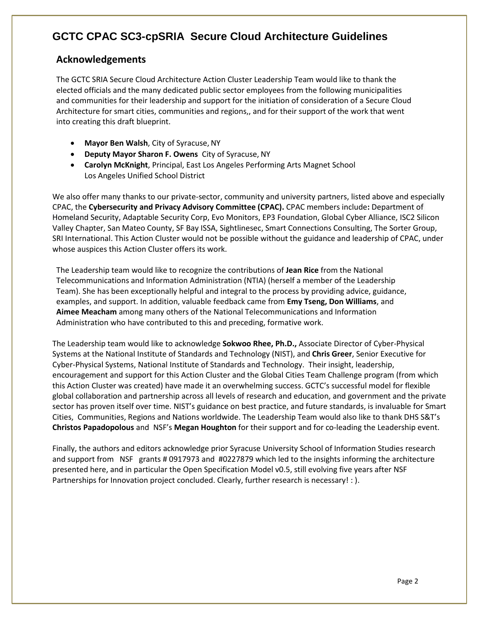#### <span id="page-1-0"></span>**Acknowledgements**

The GCTC SRIA Secure Cloud Architecture Action Cluster Leadership Team would like to thank the elected officials and the many dedicated public sector employees from the following municipalities and communities for their leadership and support for the initiation of consideration of a Secure Cloud Architecture for smart cities, communities and regions,, and for their support of the work that went into creating this draft blueprint.

- **Mayor Ben Walsh**, City of Syracuse, NY
- **Deputy Mayor Sharon F. Owens** City of Syracuse, NY
- **Carolyn McKnight**, Principal, East Los Angeles Performing Arts Magnet School Los Angeles Unified School District

We also offer many thanks to our private-sector, community and university partners, listed above and especially CPAC, the **Cybersecurity and Privacy Advisory Committee (CPAC).** CPAC members include**:** Department of Homeland Security, Adaptable Security Corp, Evo Monitors, EP3 Foundation, Global Cyber Alliance, ISC2 Silicon Valley Chapter, San Mateo County, SF Bay ISSA, Sightlinesec, Smart Connections Consulting, The Sorter Group, SRI International. This Action Cluster would not be possible without the guidance and leadership of CPAC, under whose auspices this Action Cluster offers its work.

The Leadership team would like to recognize the contributions of **Jean Rice** from the National Telecommunications and Information Administration (NTIA) (herself a member of the Leadership Team). She has been exceptionally helpful and integral to the process by providing advice, guidance, examples, and support. In addition, valuable feedback came from **Emy Tseng, Don Williams**, and **Aimee Meacham** among many others of the National Telecommunications and Information Administration who have contributed to this and preceding, formative work.

The Leadership team would like to acknowledge **Sokwoo Rhee, Ph.D.,** Associate Director of Cyber-Physical Systems at the National Institute of Standards and Technology (NIST), and **Chris Greer**, Senior Executive for Cyber-Physical Systems, National Institute of Standards and Technology. Their insight, leadership, encouragement and support for this Action Cluster and the Global Cities Team Challenge program (from which this Action Cluster was created) have made it an overwhelming success. GCTC's successful model for flexible global collaboration and partnership across all levels of research and education, and government and the private sector has proven itself over time. NIST's guidance on best practice, and future standards, is invaluable for Smart Cities, Communities, Regions and Nations worldwide. The Leadership Team would also like to thank DHS S&T's **Christos Papadopolous** and NSF's **Megan Houghton** for their support and for co-leading the Leadership event.

Finally, the authors and editors acknowledge prior Syracuse University School of Information Studies research and support from NSF grants # 0917973 and #0227879 which led to the insights informing the architecture presented here, and in particular the Open Specification Model v0.5, still evolving five years after NSF Partnerships for Innovation project concluded. Clearly, further research is necessary! : ).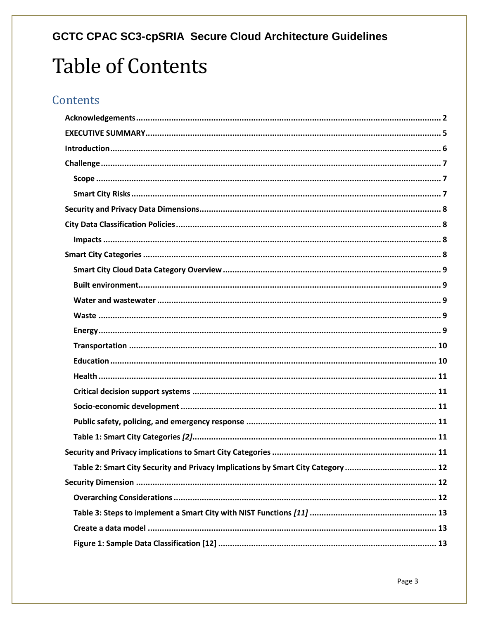# **GCTC CPAC SC3-cpSRIA Secure Cloud Architecture Guidelines Table of Contents**

# Contents

| Table 2: Smart City Security and Privacy Implications by Smart City Category  12 |
|----------------------------------------------------------------------------------|
|                                                                                  |
|                                                                                  |
|                                                                                  |
|                                                                                  |
|                                                                                  |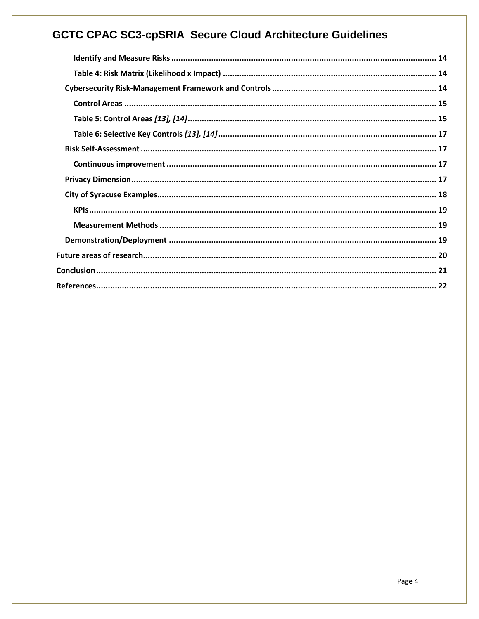| Table 4: Risk Matrix (Likelihood x Impact) …………………………………………………………………………………… 14 |
|--------------------------------------------------------------------------------|
|                                                                                |
|                                                                                |
|                                                                                |
|                                                                                |
|                                                                                |
|                                                                                |
|                                                                                |
|                                                                                |
|                                                                                |
|                                                                                |
|                                                                                |
|                                                                                |
|                                                                                |
|                                                                                |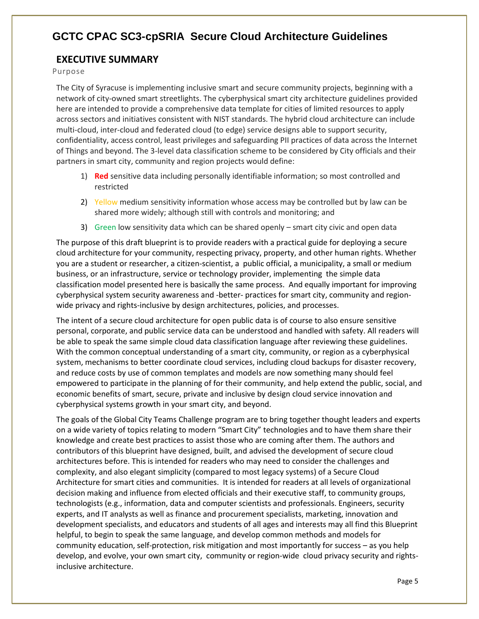#### <span id="page-4-0"></span>**EXECUTIVE SUMMARY**

Purpose

The City of Syracuse is implementing inclusive smart and secure community projects, beginning with a network of city-owned smart streetlights. The cyberphysical smart city architecture guidelines provided here are intended to provide a comprehensive data template for cities of limited resources to apply across sectors and initiatives consistent with NIST standards. The hybrid cloud architecture can include multi-cloud, inter-cloud and federated cloud (to edge) service designs able to support security, confidentiality, access control, least privileges and safeguarding PII practices of data across the Internet of Things and beyond. The 3-level data classification scheme to be considered by City officials and their partners in smart city, community and region projects would define:

- 1) **Red** sensitive data including personally identifiable information; so most controlled and restricted
- 2) Yellow medium sensitivity information whose access may be controlled but by law can be shared more widely; although still with controls and monitoring; and
- 3) Green low sensitivity data which can be shared openly smart city civic and open data

The purpose of this draft blueprint is to provide readers with a practical guide for deploying a secure cloud architecture for your community, respecting privacy, property, and other human rights. Whether you are a student or researcher, a citizen-scientist, a public official, a municipality, a small or medium business, or an infrastructure, service or technology provider, implementing the simple data classification model presented here is basically the same process. And equally important for improving cyberphysical system security awareness and -better- practices for smart city, community and regionwide privacy and rights-inclusive by design architectures, policies, and processes.

The intent of a secure cloud architecture for open public data is of course to also ensure sensitive personal, corporate, and public service data can be understood and handled with safety. All readers will be able to speak the same simple cloud data classification language after reviewing these guidelines. With the common conceptual understanding of a smart city, community, or region as a cyberphysical system, mechanisms to better coordinate cloud services, including cloud backups for disaster recovery, and reduce costs by use of common templates and models are now something many should feel empowered to participate in the planning of for their community, and help extend the public, social, and economic benefits of smart, secure, private and inclusive by design cloud service innovation and cyberphysical systems growth in your smart city, and beyond.

The goals of the Global City Teams Challenge program are to bring together thought leaders and experts on a wide variety of topics relating to modern "Smart City" technologies and to have them share their knowledge and create best practices to assist those who are coming after them. The authors and contributors of this blueprint have designed, built, and advised the development of secure cloud architectures before. This is intended for readers who may need to consider the challenges and complexity, and also elegant simplicity (compared to most legacy systems) of a Secure Cloud Architecture for smart cities and communities. It is intended for readers at all levels of organizational decision making and influence from elected officials and their executive staff, to community groups, technologists (e.g., information, data and computer scientists and professionals. Engineers, security experts, and IT analysts as well as finance and procurement specialists, marketing, innovation and development specialists, and educators and students of all ages and interests may all find this Blueprint helpful, to begin to speak the same language, and develop common methods and models for community education, self-protection, risk mitigation and most importantly for success – as you help develop, and evolve, your own smart city, community or region-wide cloud privacy security and rightsinclusive architecture.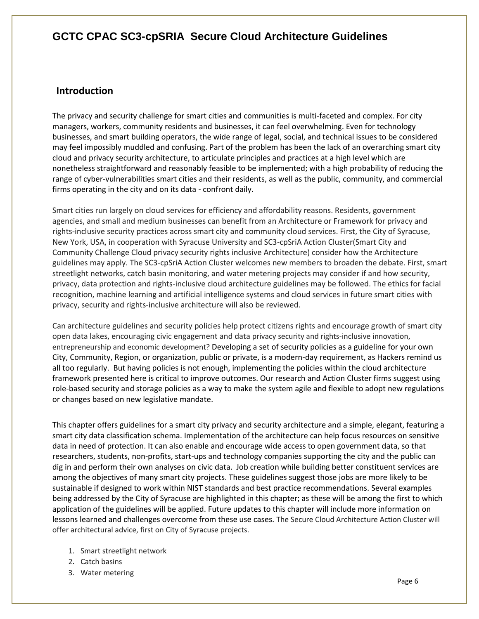#### <span id="page-5-0"></span>**Introduction**

The privacy and security challenge for smart cities and communities is multi-faceted and complex. For city managers, workers, community residents and businesses, it can feel overwhelming. Even for technology businesses, and smart building operators, the wide range of legal, social, and technical issues to be considered may feel impossibly muddled and confusing. Part of the problem has been the lack of an overarching smart city cloud and privacy security architecture, to articulate principles and practices at a high level which are nonetheless straightforward and reasonably feasible to be implemented; with a high probability of reducing the range of cyber-vulnerabilities smart cities and their residents, as well as the public, community, and commercial firms operating in the city and on its data - confront daily.

Smart cities run largely on cloud services for efficiency and affordability reasons. Residents, government agencies, and small and medium businesses can benefit from an Architecture or Framework for privacy and rights-inclusive security practices across smart city and community cloud services. First, the City of Syracuse, New York, USA, in cooperation with Syracuse University and SC3-cpSriA Action Cluster(Smart City and Community Challenge Cloud privacy security rights inclusive Architecture) consider how the Architecture guidelines may apply. The SC3-cpSriA Action Cluster welcomes new members to broaden the debate. First, smart streetlight networks, catch basin monitoring, and water metering projects may consider if and how security, privacy, data protection and rights-inclusive cloud architecture guidelines may be followed. The ethics for facial recognition, machine learning and artificial intelligence systems and cloud services in future smart cities with privacy, security and rights-inclusive architecture will also be reviewed.

Can architecture guidelines and security policies help protect citizens rights and encourage growth of smart city open data lakes, encouraging civic engagement and data privacy security and rights-inclusive innovation, entrepreneurship and economic development? Developing a set of security policies as a guideline for your own City, Community, Region, or organization, public or private, is a modern-day requirement, as Hackers remind us all too regularly. But having policies is not enough, implementing the policies within the cloud architecture framework presented here is critical to improve outcomes. Our research and Action Cluster firms suggest using role-based security and storage policies as a way to make the system agile and flexible to adopt new regulations or changes based on new legislative mandate.

This chapter offers guidelines for a smart city privacy and security architecture and a simple, elegant, featuring a smart city data classification schema. Implementation of the architecture can help focus resources on sensitive data in need of protection. It can also enable and encourage wide access to open government data, so that researchers, students, non-profits, start-ups and technology companies supporting the city and the public can dig in and perform their own analyses on civic data. Job creation while building better constituent services are among the objectives of many smart city projects. These guidelines suggest those jobs are more likely to be sustainable if designed to work within NIST standards and best practice recommendations. Several examples being addressed by the City of Syracuse are highlighted in this chapter; as these will be among the first to which application of the guidelines will be applied. Future updates to this chapter will include more information on lessons learned and challenges overcome from these use cases. The Secure Cloud Architecture Action Cluster will offer architectural advice, first on City of Syracuse projects.

- 1. Smart streetlight network
- 2. Catch basins
- 3. Water metering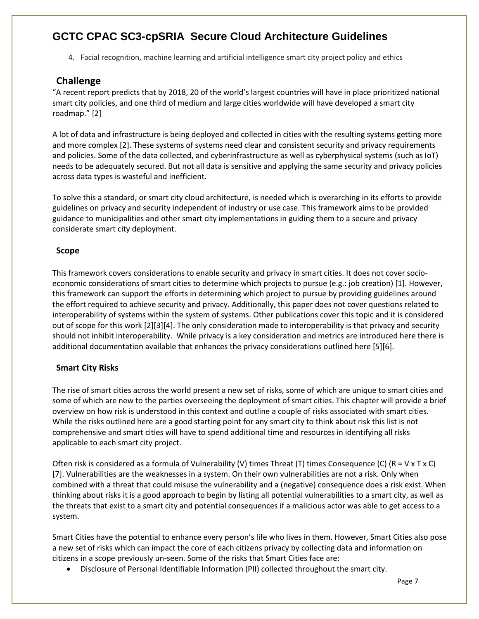4. Facial recognition, machine learning and artificial intelligence smart city project policy and ethics

#### <span id="page-6-0"></span>**Challenge**

"A recent report predicts that by 2018, 20 of the world's largest countries will have in place prioritized national smart city policies, and one third of medium and large cities worldwide will have developed a smart city roadmap." [2]

A lot of data and infrastructure is being deployed and collected in cities with the resulting systems getting more and more complex [2]. These systems of systems need clear and consistent security and privacy requirements and policies. Some of the data collected, and cyberinfrastructure as well as cyberphysical systems (such as IoT) needs to be adequately secured. But not all data is sensitive and applying the same security and privacy policies across data types is wasteful and inefficient.

To solve this a standard, or smart city cloud architecture, is needed which is overarching in its efforts to provide guidelines on privacy and security independent of industry or use case. This framework aims to be provided guidance to municipalities and other smart city implementations in guiding them to a secure and privacy considerate smart city deployment.

#### <span id="page-6-1"></span>**Scope**

This framework covers considerations to enable security and privacy in smart cities. It does not cover socioeconomic considerations of smart cities to determine which projects to pursue (e.g.: job creation) [1]. However, this framework can support the efforts in determining which project to pursue by providing guidelines around the effort required to achieve security and privacy. Additionally, this paper does not cover questions related to interoperability of systems within the system of systems. Other publications cover this topic and it is considered out of scope for this work [2][3][4]. The only consideration made to interoperability is that privacy and security should not inhibit interoperability. While privacy is a key consideration and metrics are introduced here there is additional documentation available that enhances the privacy considerations outlined here [5][6].

#### <span id="page-6-2"></span>**Smart City Risks**

The rise of smart cities across the world present a new set of risks, some of which are unique to smart cities and some of which are new to the parties overseeing the deployment of smart cities. This chapter will provide a brief overview on how risk is understood in this context and outline a couple of risks associated with smart cities. While the risks outlined here are a good starting point for any smart city to think about risk this list is not comprehensive and smart cities will have to spend additional time and resources in identifying all risks applicable to each smart city project.

Often risk is considered as a formula of Vulnerability (V) times Threat (T) times Consequence (C) (R = V x T x C) [7]. Vulnerabilities are the weaknesses in a system. On their own vulnerabilities are not a risk. Only when combined with a threat that could misuse the vulnerability and a (negative) consequence does a risk exist. When thinking about risks it is a good approach to begin by listing all potential vulnerabilities to a smart city, as well as the threats that exist to a smart city and potential consequences if a malicious actor was able to get access to a system.

Smart Cities have the potential to enhance every person's life who lives in them. However, Smart Cities also pose a new set of risks which can impact the core of each citizens privacy by collecting data and information on citizens in a scope previously un-seen. Some of the risks that Smart Cities face are:

• Disclosure of Personal Identifiable Information (PII) collected throughout the smart city.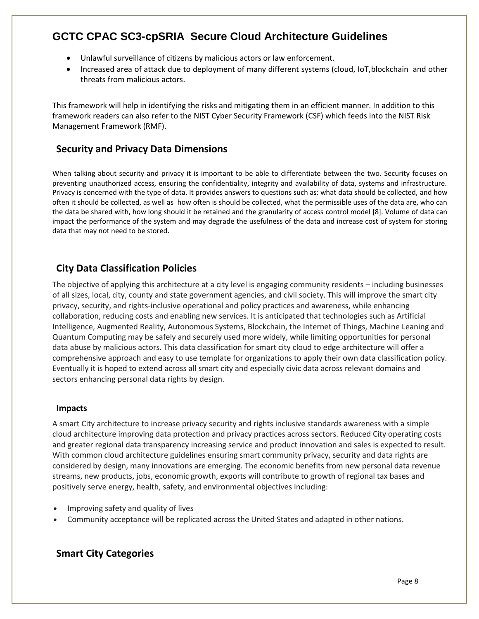- Unlawful surveillance of citizens by malicious actors or law enforcement.
- Increased area of attack due to deployment of many different systems (cloud, IoT,blockchain and other threats from malicious actors.

This framework will help in identifying the risks and mitigating them in an efficient manner. In addition to this framework readers can also refer to the NIST Cyber Security Framework (CSF) which feeds into the NIST Risk Management Framework (RMF).

#### <span id="page-7-0"></span>**Security and Privacy Data Dimensions**

When talking about security and privacy it is important to be able to differentiate between the two. Security focuses on preventing unauthorized access, ensuring the confidentiality, integrity and availability of data, systems and infrastructure. Privacy is concerned with the type of data. It provides answers to questions such as: what data should be collected, and how often it should be collected, as well as how often is should be collected, what the permissible uses of the data are, who can the data be shared with, how long should it be retained and the granularity of access control model [8]. Volume of data can impact the performance of the system and may degrade the usefulness of the data and increase cost of system for storing data that may not need to be stored.

#### <span id="page-7-1"></span>**City Data Classification Policies**

The objective of applying this architecture at a city level is engaging community residents – including businesses of all sizes, local, city, county and state government agencies, and civil society. This will improve the smart city privacy, security, and rights-inclusive operational and policy practices and awareness, while enhancing collaboration, reducing costs and enabling new services. It is anticipated that technologies such as Artificial Intelligence, Augmented Reality, Autonomous Systems, Blockchain, the Internet of Things, Machine Leaning and Quantum Computing may be safely and securely used more widely, while limiting opportunities for personal data abuse by malicious actors. This data classification for smart city cloud to edge architecture will offer a comprehensive approach and easy to use template for organizations to apply their own data classification policy. Eventually it is hoped to extend across all smart city and especially civic data across relevant domains and sectors enhancing personal data rights by design.

#### <span id="page-7-2"></span>**Impacts**

A smart City architecture to increase privacy security and rights inclusive standards awareness with a simple cloud architecture improving data protection and privacy practices across sectors. Reduced City operating costs and greater regional data transparency increasing service and product innovation and sales is expected to result. With common cloud architecture guidelines ensuring smart community privacy, security and data rights are considered by design, many innovations are emerging. The economic benefits from new personal data revenue streams, new products, jobs, economic growth, exports will contribute to growth of regional tax bases and positively serve energy, health, safety, and environmental objectives including:

- Improving safety and quality of lives
- Community acceptance will be replicated across the United States and adapted in other nations.

#### <span id="page-7-3"></span>**Smart City Categories**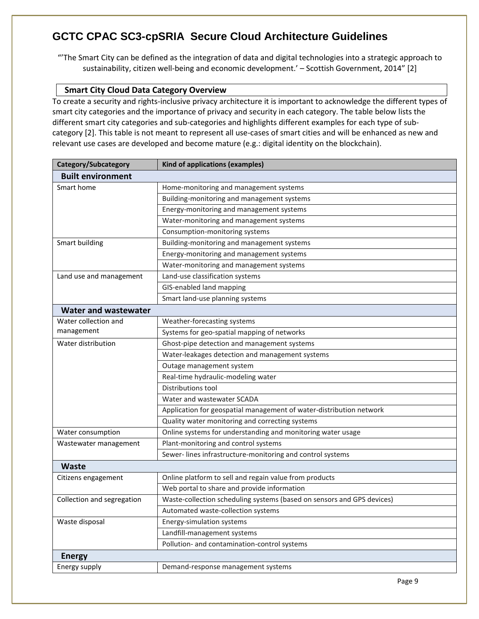"'The Smart City can be defined as the integration of data and digital technologies into a strategic approach to sustainability, citizen well-being and economic development.' – Scottish Government, 2014" [2]

#### <span id="page-8-0"></span>**Smart City Cloud Data Category Overview**

To create a security and rights-inclusive privacy architecture it is important to acknowledge the different types of smart city categories and the importance of privacy and security in each category. The table below lists the different smart city categories and sub-categories and highlights different examples for each type of subcategory [2]. This table is not meant to represent all use-cases of smart cities and will be enhanced as new and relevant use cases are developed and become mature (e.g.: digital identity on the blockchain).

<span id="page-8-4"></span><span id="page-8-3"></span><span id="page-8-2"></span><span id="page-8-1"></span>

| Category/Subcategory                                                             | Kind of applications (examples)                                        |  |  |
|----------------------------------------------------------------------------------|------------------------------------------------------------------------|--|--|
| <b>Built environment</b>                                                         |                                                                        |  |  |
| Smart home                                                                       | Home-monitoring and management systems                                 |  |  |
|                                                                                  | Building-monitoring and management systems                             |  |  |
|                                                                                  | Energy-monitoring and management systems                               |  |  |
|                                                                                  | Water-monitoring and management systems                                |  |  |
|                                                                                  | Consumption-monitoring systems                                         |  |  |
| Smart building                                                                   | Building-monitoring and management systems                             |  |  |
|                                                                                  | Energy-monitoring and management systems                               |  |  |
|                                                                                  | Water-monitoring and management systems                                |  |  |
| Land use and management                                                          | Land-use classification systems                                        |  |  |
|                                                                                  | GIS-enabled land mapping                                               |  |  |
|                                                                                  | Smart land-use planning systems                                        |  |  |
| <b>Water and wastewater</b>                                                      |                                                                        |  |  |
| Water collection and                                                             | Weather-forecasting systems                                            |  |  |
| management                                                                       | Systems for geo-spatial mapping of networks                            |  |  |
| Water distribution                                                               | Ghost-pipe detection and management systems                            |  |  |
|                                                                                  | Water-leakages detection and management systems                        |  |  |
|                                                                                  | Outage management system                                               |  |  |
|                                                                                  | Real-time hydraulic-modeling water                                     |  |  |
|                                                                                  | Distributions tool                                                     |  |  |
|                                                                                  | Water and wastewater SCADA                                             |  |  |
|                                                                                  | Application for geospatial management of water-distribution network    |  |  |
|                                                                                  | Quality water monitoring and correcting systems                        |  |  |
| Online systems for understanding and monitoring water usage<br>Water consumption |                                                                        |  |  |
| Wastewater management                                                            | Plant-monitoring and control systems                                   |  |  |
|                                                                                  | Sewer-lines infrastructure-monitoring and control systems              |  |  |
| <b>Waste</b>                                                                     |                                                                        |  |  |
| Citizens engagement                                                              | Online platform to sell and regain value from products                 |  |  |
|                                                                                  | Web portal to share and provide information                            |  |  |
| Collection and segregation                                                       | Waste-collection scheduling systems (based on sensors and GPS devices) |  |  |
|                                                                                  | Automated waste-collection systems                                     |  |  |
| Waste disposal                                                                   | Energy-simulation systems                                              |  |  |
|                                                                                  | Landfill-management systems                                            |  |  |
|                                                                                  | Pollution- and contamination-control systems                           |  |  |
| <b>Energy</b>                                                                    |                                                                        |  |  |
| Energy supply                                                                    | Demand-response management systems                                     |  |  |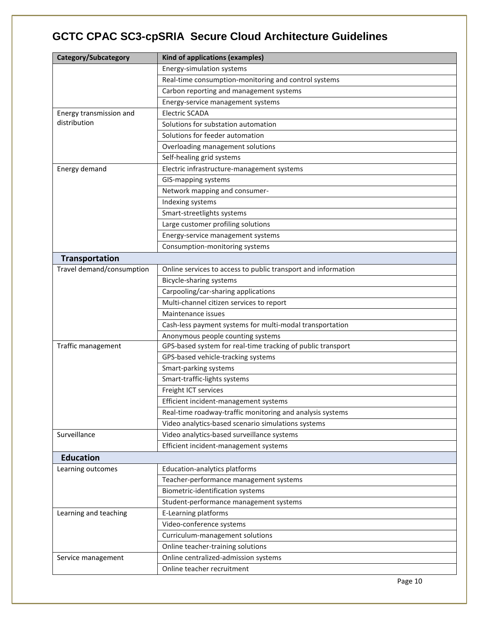<span id="page-9-1"></span><span id="page-9-0"></span>

| Category/Subcategory      | Kind of applications (examples)                               |  |  |  |  |
|---------------------------|---------------------------------------------------------------|--|--|--|--|
|                           | Energy-simulation systems                                     |  |  |  |  |
|                           | Real-time consumption-monitoring and control systems          |  |  |  |  |
|                           | Carbon reporting and management systems                       |  |  |  |  |
|                           | Energy-service management systems                             |  |  |  |  |
| Energy transmission and   | <b>Electric SCADA</b>                                         |  |  |  |  |
| distribution              | Solutions for substation automation                           |  |  |  |  |
|                           | Solutions for feeder automation                               |  |  |  |  |
|                           | Overloading management solutions                              |  |  |  |  |
|                           | Self-healing grid systems                                     |  |  |  |  |
| Energy demand             | Electric infrastructure-management systems                    |  |  |  |  |
|                           | GIS-mapping systems                                           |  |  |  |  |
|                           | Network mapping and consumer-                                 |  |  |  |  |
|                           | Indexing systems                                              |  |  |  |  |
|                           | Smart-streetlights systems                                    |  |  |  |  |
|                           | Large customer profiling solutions                            |  |  |  |  |
|                           | Energy-service management systems                             |  |  |  |  |
|                           | Consumption-monitoring systems                                |  |  |  |  |
| <b>Transportation</b>     |                                                               |  |  |  |  |
| Travel demand/consumption | Online services to access to public transport and information |  |  |  |  |
|                           | Bicycle-sharing systems                                       |  |  |  |  |
|                           | Carpooling/car-sharing applications                           |  |  |  |  |
|                           | Multi-channel citizen services to report                      |  |  |  |  |
|                           | Maintenance issues                                            |  |  |  |  |
|                           | Cash-less payment systems for multi-modal transportation      |  |  |  |  |
|                           | Anonymous people counting systems                             |  |  |  |  |
| Traffic management        | GPS-based system for real-time tracking of public transport   |  |  |  |  |
|                           | GPS-based vehicle-tracking systems                            |  |  |  |  |
|                           | Smart-parking systems                                         |  |  |  |  |
|                           | Smart-traffic-lights systems                                  |  |  |  |  |
|                           | Freight ICT services                                          |  |  |  |  |
|                           | Efficient incident-management systems                         |  |  |  |  |
|                           | Real-time roadway-traffic monitoring and analysis systems     |  |  |  |  |
|                           | Video analytics-based scenario simulations systems            |  |  |  |  |
| Surveillance              | Video analytics-based surveillance systems                    |  |  |  |  |
|                           | Efficient incident-management systems                         |  |  |  |  |
| <b>Education</b>          |                                                               |  |  |  |  |
| Learning outcomes         | Education-analytics platforms                                 |  |  |  |  |
|                           | Teacher-performance management systems                        |  |  |  |  |
|                           | Biometric-identification systems                              |  |  |  |  |
|                           | Student-performance management systems                        |  |  |  |  |
| Learning and teaching     | E-Learning platforms                                          |  |  |  |  |
|                           | Video-conference systems                                      |  |  |  |  |
|                           | Curriculum-management solutions                               |  |  |  |  |
|                           | Online teacher-training solutions                             |  |  |  |  |
| Service management        | Online centralized-admission systems                          |  |  |  |  |
|                           | Online teacher recruitment                                    |  |  |  |  |
|                           |                                                               |  |  |  |  |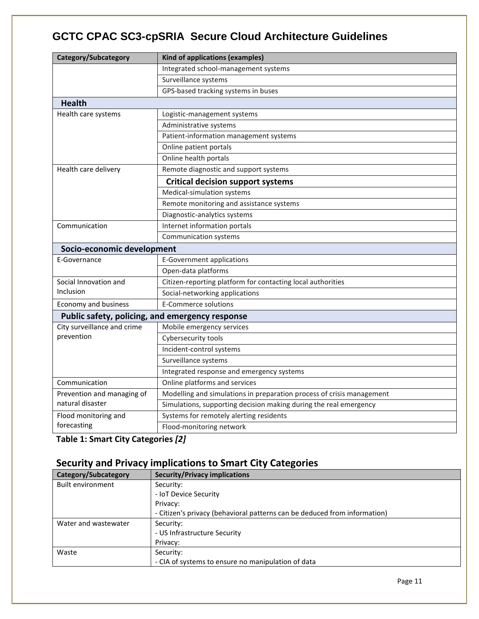<span id="page-10-1"></span><span id="page-10-0"></span>

| Category/Subcategory                            | Kind of applications (examples)                                       |  |  |  |
|-------------------------------------------------|-----------------------------------------------------------------------|--|--|--|
|                                                 | Integrated school-management systems                                  |  |  |  |
|                                                 | Surveillance systems                                                  |  |  |  |
|                                                 | GPS-based tracking systems in buses                                   |  |  |  |
| <b>Health</b>                                   |                                                                       |  |  |  |
| Health care systems                             | Logistic-management systems                                           |  |  |  |
|                                                 | Administrative systems                                                |  |  |  |
|                                                 | Patient-information management systems                                |  |  |  |
|                                                 | Online patient portals                                                |  |  |  |
|                                                 | Online health portals                                                 |  |  |  |
| Health care delivery                            | Remote diagnostic and support systems                                 |  |  |  |
|                                                 | <b>Critical decision support systems</b>                              |  |  |  |
|                                                 | Medical-simulation systems                                            |  |  |  |
|                                                 | Remote monitoring and assistance systems                              |  |  |  |
|                                                 | Diagnostic-analytics systems                                          |  |  |  |
| Communication                                   | Internet information portals                                          |  |  |  |
| <b>Communication systems</b>                    |                                                                       |  |  |  |
| Socio-economic development                      |                                                                       |  |  |  |
| E-Governance                                    | <b>E-Government applications</b>                                      |  |  |  |
|                                                 | Open-data platforms                                                   |  |  |  |
| Social Innovation and                           | Citizen-reporting platform for contacting local authorities           |  |  |  |
| Inclusion                                       | Social-networking applications                                        |  |  |  |
| <b>Economy and business</b>                     | <b>E-Commerce solutions</b>                                           |  |  |  |
| Public safety, policing, and emergency response |                                                                       |  |  |  |
| City surveillance and crime                     | Mobile emergency services                                             |  |  |  |
| prevention                                      | Cybersecurity tools                                                   |  |  |  |
|                                                 | Incident-control systems                                              |  |  |  |
|                                                 | Surveillance systems                                                  |  |  |  |
|                                                 | Integrated response and emergency systems                             |  |  |  |
| Communication                                   | Online platforms and services                                         |  |  |  |
| Prevention and managing of                      | Modelling and simulations in preparation process of crisis management |  |  |  |
| natural disaster                                | Simulations, supporting decision making during the real emergency     |  |  |  |
| Flood monitoring and                            | Systems for remotely alerting residents                               |  |  |  |
| forecasting                                     | Flood-monitoring network                                              |  |  |  |

<span id="page-10-4"></span><span id="page-10-3"></span><span id="page-10-2"></span>**Table 1: Smart City Categories** *[2]*

## <span id="page-10-5"></span>**Security and Privacy implications to Smart City Categories**

| Category/Subcategory | <b>Security/Privacy implications</b>                                      |  |  |
|----------------------|---------------------------------------------------------------------------|--|--|
| Built environment    | Security:                                                                 |  |  |
|                      | - IoT Device Security                                                     |  |  |
|                      | Privacy:                                                                  |  |  |
|                      | - Citizen's privacy (behavioral patterns can be deduced from information) |  |  |
| Water and wastewater | Security:                                                                 |  |  |
|                      | - US Infrastructure Security                                              |  |  |
|                      | Privacy:                                                                  |  |  |
| Waste                | Security:                                                                 |  |  |
|                      | - CIA of systems to ensure no manipulation of data                        |  |  |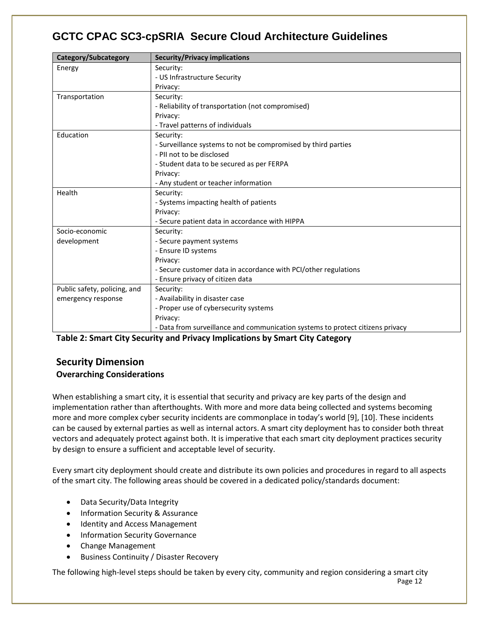| Category/Subcategory         | <b>Security/Privacy implications</b>                                           |  |  |  |
|------------------------------|--------------------------------------------------------------------------------|--|--|--|
| Energy                       | Security:                                                                      |  |  |  |
|                              | - US Infrastructure Security                                                   |  |  |  |
|                              | Privacy:                                                                       |  |  |  |
| Transportation               | Security:                                                                      |  |  |  |
|                              | - Reliability of transportation (not compromised)                              |  |  |  |
|                              | Privacy:                                                                       |  |  |  |
|                              | - Travel patterns of individuals                                               |  |  |  |
| Education                    | Security:                                                                      |  |  |  |
|                              | - Surveillance systems to not be compromised by third parties                  |  |  |  |
|                              | - PII not to be disclosed                                                      |  |  |  |
|                              | - Student data to be secured as per FERPA                                      |  |  |  |
|                              | Privacy:                                                                       |  |  |  |
|                              | - Any student or teacher information                                           |  |  |  |
| Health                       | Security:                                                                      |  |  |  |
|                              | - Systems impacting health of patients                                         |  |  |  |
|                              | Privacy:                                                                       |  |  |  |
|                              | - Secure patient data in accordance with HIPPA                                 |  |  |  |
| Socio-economic               | Security:                                                                      |  |  |  |
| development                  | - Secure payment systems                                                       |  |  |  |
|                              | - Ensure ID systems                                                            |  |  |  |
|                              | Privacy:                                                                       |  |  |  |
|                              | - Secure customer data in accordance with PCI/other regulations                |  |  |  |
|                              | - Ensure privacy of citizen data                                               |  |  |  |
| Public safety, policing, and | Security:                                                                      |  |  |  |
| emergency response           | - Availability in disaster case                                                |  |  |  |
|                              | - Proper use of cybersecurity systems                                          |  |  |  |
|                              | Privacy:                                                                       |  |  |  |
|                              | - Data from surveillance and communication systems to protect citizens privacy |  |  |  |

<span id="page-11-0"></span>**Table 2: Smart City Security and Privacy Implications by Smart City Category**

#### <span id="page-11-2"></span><span id="page-11-1"></span>**Security Dimension Overarching Considerations**

When establishing a smart city, it is essential that security and privacy are key parts of the design and implementation rather than afterthoughts. With more and more data being collected and systems becoming more and more complex cyber security incidents are commonplace in today's world [9], [10]. These incidents can be caused by external parties as well as internal actors. A smart city deployment has to consider both threat vectors and adequately protect against both. It is imperative that each smart city deployment practices security by design to ensure a sufficient and acceptable level of security.

Every smart city deployment should create and distribute its own policies and procedures in regard to all aspects of the smart city. The following areas should be covered in a dedicated policy/standards document:

- Data Security/Data Integrity
- Information Security & Assurance
- Identity and Access Management
- Information Security Governance
- Change Management
- Business Continuity / Disaster Recovery

Page 12 The following high-level steps should be taken by every city, community and region considering a smart city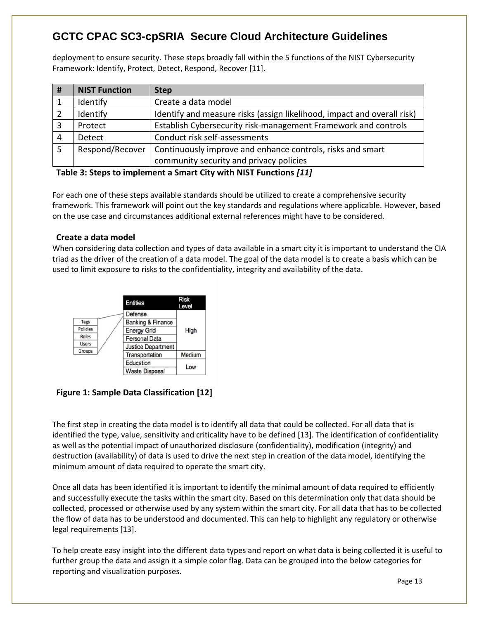deployment to ensure security. These steps broadly fall within the 5 functions of the NIST Cybersecurity Framework: Identify, Protect, Detect, Respond, Recover [11].

| # | <b>NIST Function</b> | <b>Step</b>                                                             |
|---|----------------------|-------------------------------------------------------------------------|
|   | Identify             | Create a data model                                                     |
|   | Identify             | Identify and measure risks (assign likelihood, impact and overall risk) |
| 3 | Protect              | Establish Cybersecurity risk-management Framework and controls          |
| 4 | <b>Detect</b>        | Conduct risk self-assessments                                           |
| 5 | Respond/Recover      | Continuously improve and enhance controls, risks and smart              |
|   |                      | community security and privacy policies                                 |

#### <span id="page-12-0"></span>**Table 3: Steps to implement a Smart City with NIST Functions** *[11]*

For each one of these steps available standards should be utilized to create a comprehensive security framework. This framework will point out the key standards and regulations where applicable. However, based on the use case and circumstances additional external references might have to be considered.

#### <span id="page-12-1"></span>**Create a data model**

When considering data collection and types of data available in a smart city it is important to understand the CIA triad as the driver of the creation of a data model. The goal of the data model is to create a basis which can be used to limit exposure to risks to the confidentiality, integrity and availability of the data.



#### <span id="page-12-2"></span>**Figure 1: Sample Data Classification [12]**

The first step in creating the data model is to identify all data that could be collected. For all data that is identified the type, value, sensitivity and criticality have to be defined [13]. The identification of confidentiality as well as the potential impact of unauthorized disclosure (confidentiality), modification (integrity) and destruction (availability) of data is used to drive the next step in creation of the data model, identifying the minimum amount of data required to operate the smart city.

Once all data has been identified it is important to identify the minimal amount of data required to efficiently and successfully execute the tasks within the smart city. Based on this determination only that data should be collected, processed or otherwise used by any system within the smart city. For all data that has to be collected the flow of data has to be understood and documented. This can help to highlight any regulatory or otherwise legal requirements [13].

To help create easy insight into the different data types and report on what data is being collected it is useful to further group the data and assign it a simple color flag. Data can be grouped into the below categories for reporting and visualization purposes.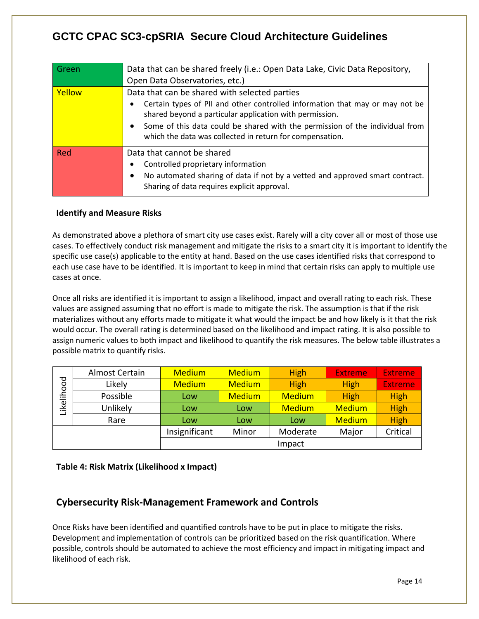| Data that can be shared freely (i.e.: Open Data Lake, Civic Data Repository,                                                                          |  |  |  |  |
|-------------------------------------------------------------------------------------------------------------------------------------------------------|--|--|--|--|
| Open Data Observatories, etc.)                                                                                                                        |  |  |  |  |
| Data that can be shared with selected parties                                                                                                         |  |  |  |  |
| Certain types of PII and other controlled information that may or may not be<br>$\bullet$<br>shared beyond a particular application with permission.  |  |  |  |  |
| Some of this data could be shared with the permission of the individual from<br>$\bullet$<br>which the data was collected in return for compensation. |  |  |  |  |
| Data that cannot be shared                                                                                                                            |  |  |  |  |
| Controlled proprietary information<br>$\bullet$                                                                                                       |  |  |  |  |
| No automated sharing of data if not by a vetted and approved smart contract.<br>$\bullet$<br>Sharing of data requires explicit approval.              |  |  |  |  |
|                                                                                                                                                       |  |  |  |  |

#### <span id="page-13-0"></span>**Identify and Measure Risks**

As demonstrated above a plethora of smart city use cases exist. Rarely will a city cover all or most of those use cases. To effectively conduct risk management and mitigate the risks to a smart city it is important to identify the specific use case(s) applicable to the entity at hand. Based on the use cases identified risks that correspond to each use case have to be identified. It is important to keep in mind that certain risks can apply to multiple use cases at once.

Once all risks are identified it is important to assign a likelihood, impact and overall rating to each risk. These values are assigned assuming that no effort is made to mitigate the risk. The assumption is that if the risk materializes without any efforts made to mitigate it what would the impact be and how likely is it that the risk would occur. The overall rating is determined based on the likelihood and impact rating. It is also possible to assign numeric values to both impact and likelihood to quantify the risk measures. The below table illustrates a possible matrix to quantify risks.

| Likelihood | Almost Certain | <b>Medium</b> | <b>Medium</b> | <b>High</b>   | <b>Extreme</b> | <b>Extreme</b> |
|------------|----------------|---------------|---------------|---------------|----------------|----------------|
|            | Likely         | <b>Medium</b> | <b>Medium</b> | <b>High</b>   | <b>High</b>    | <b>Extreme</b> |
|            | Possible       | Low           | <b>Medium</b> | <b>Medium</b> | <b>High</b>    | <b>High</b>    |
|            | Unlikely       | Low           | Low           | <b>Medium</b> | <b>Medium</b>  | <b>High</b>    |
|            | Rare           | Low           | Low           | Low           | <b>Medium</b>  | <b>High</b>    |
|            |                | Insignificant | Minor         | Moderate      | Major          | Critical       |
|            |                |               |               | Impact        |                |                |

#### <span id="page-13-1"></span>**Table 4: Risk Matrix (Likelihood x Impact)**

#### <span id="page-13-2"></span>**Cybersecurity Risk-Management Framework and Controls**

Once Risks have been identified and quantified controls have to be put in place to mitigate the risks. Development and implementation of controls can be prioritized based on the risk quantification. Where possible, controls should be automated to achieve the most efficiency and impact in mitigating impact and likelihood of each risk.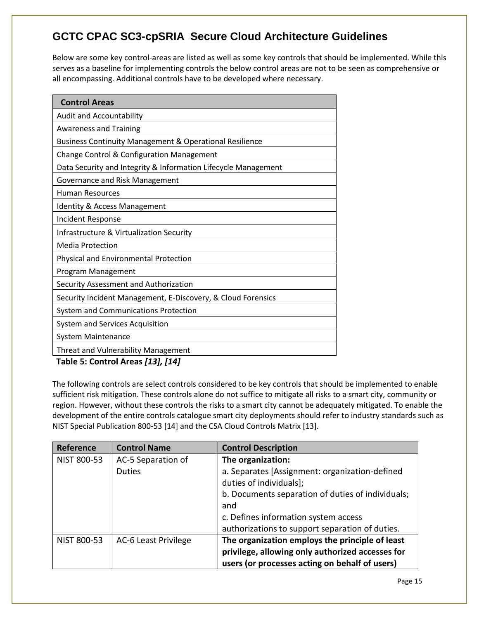Below are some key control-areas are listed as well as some key controls that should be implemented. While this serves as a baseline for implementing controls the below control areas are not to be seen as comprehensive or all encompassing. Additional controls have to be developed where necessary.

<span id="page-14-0"></span>

| <b>Control Areas</b>                                               |
|--------------------------------------------------------------------|
| <b>Audit and Accountability</b>                                    |
| <b>Awareness and Training</b>                                      |
| <b>Business Continuity Management &amp; Operational Resilience</b> |
| Change Control & Configuration Management                          |
| Data Security and Integrity & Information Lifecycle Management     |
| Governance and Risk Management                                     |
| <b>Human Resources</b>                                             |
| <b>Identity &amp; Access Management</b>                            |
| <b>Incident Response</b>                                           |
| Infrastructure & Virtualization Security                           |
| <b>Media Protection</b>                                            |
| Physical and Environmental Protection                              |
| Program Management                                                 |
| Security Assessment and Authorization                              |
| Security Incident Management, E-Discovery, & Cloud Forensics       |
| <b>System and Communications Protection</b>                        |
| System and Services Acquisition                                    |
| <b>System Maintenance</b>                                          |
| <b>Threat and Vulnerability Management</b>                         |

<span id="page-14-1"></span>**Table 5: Control Areas** *[13], [14]*

The following controls are select controls considered to be key controls that should be implemented to enable sufficient risk mitigation. These controls alone do not suffice to mitigate all risks to a smart city, community or region. However, without these controls the risks to a smart city cannot be adequately mitigated. To enable the development of the entire controls catalogue smart city deployments should refer to industry standards such as NIST Special Publication 800-53 [14] and the CSA Cloud Controls Matrix [13].

| Reference   | <b>Control Name</b>  | <b>Control Description</b>                                                |
|-------------|----------------------|---------------------------------------------------------------------------|
| NIST 800-53 | AC-5 Separation of   | The organization:                                                         |
|             | <b>Duties</b>        | a. Separates [Assignment: organization-defined<br>duties of individuals]; |
|             |                      | b. Documents separation of duties of individuals;                         |
|             |                      | and                                                                       |
|             |                      | c. Defines information system access                                      |
|             |                      | authorizations to support separation of duties.                           |
| NIST 800-53 | AC-6 Least Privilege | The organization employs the principle of least                           |
|             |                      | privilege, allowing only authorized accesses for                          |
|             |                      | users (or processes acting on behalf of users)                            |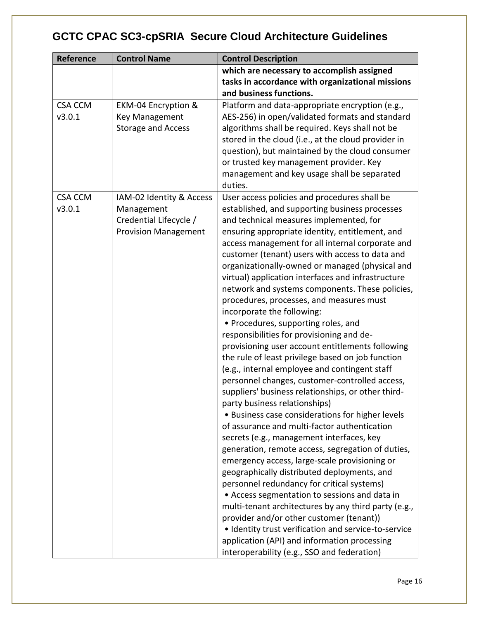| Reference                | <b>Control Name</b>                                                                             | <b>Control Description</b>                                                                                                                                                                                                                                                                                                                                                                                                                                                                                                                                                                                                                                                                                                                                                                                                                                                                                                                                                                                                                                                                                                                                                                                                                                                                                                                                                                                                                                                                                                                        |
|--------------------------|-------------------------------------------------------------------------------------------------|---------------------------------------------------------------------------------------------------------------------------------------------------------------------------------------------------------------------------------------------------------------------------------------------------------------------------------------------------------------------------------------------------------------------------------------------------------------------------------------------------------------------------------------------------------------------------------------------------------------------------------------------------------------------------------------------------------------------------------------------------------------------------------------------------------------------------------------------------------------------------------------------------------------------------------------------------------------------------------------------------------------------------------------------------------------------------------------------------------------------------------------------------------------------------------------------------------------------------------------------------------------------------------------------------------------------------------------------------------------------------------------------------------------------------------------------------------------------------------------------------------------------------------------------------|
|                          |                                                                                                 | which are necessary to accomplish assigned<br>tasks in accordance with organizational missions<br>and business functions.                                                                                                                                                                                                                                                                                                                                                                                                                                                                                                                                                                                                                                                                                                                                                                                                                                                                                                                                                                                                                                                                                                                                                                                                                                                                                                                                                                                                                         |
| <b>CSA CCM</b><br>v3.0.1 | EKM-04 Encryption &<br><b>Key Management</b><br><b>Storage and Access</b>                       | Platform and data-appropriate encryption (e.g.,<br>AES-256) in open/validated formats and standard<br>algorithms shall be required. Keys shall not be<br>stored in the cloud (i.e., at the cloud provider in<br>question), but maintained by the cloud consumer<br>or trusted key management provider. Key<br>management and key usage shall be separated<br>duties.                                                                                                                                                                                                                                                                                                                                                                                                                                                                                                                                                                                                                                                                                                                                                                                                                                                                                                                                                                                                                                                                                                                                                                              |
| <b>CSA CCM</b><br>v3.0.1 | IAM-02 Identity & Access<br>Management<br>Credential Lifecycle /<br><b>Provision Management</b> | User access policies and procedures shall be<br>established, and supporting business processes<br>and technical measures implemented, for<br>ensuring appropriate identity, entitlement, and<br>access management for all internal corporate and<br>customer (tenant) users with access to data and<br>organizationally-owned or managed (physical and<br>virtual) application interfaces and infrastructure<br>network and systems components. These policies,<br>procedures, processes, and measures must<br>incorporate the following:<br>• Procedures, supporting roles, and<br>responsibilities for provisioning and de-<br>provisioning user account entitlements following<br>the rule of least privilege based on job function<br>(e.g., internal employee and contingent staff<br>personnel changes, customer-controlled access,<br>suppliers' business relationships, or other third-<br>party business relationships)<br>• Business case considerations for higher levels<br>of assurance and multi-factor authentication<br>secrets (e.g., management interfaces, key<br>generation, remote access, segregation of duties,<br>emergency access, large-scale provisioning or<br>geographically distributed deployments, and<br>personnel redundancy for critical systems)<br>• Access segmentation to sessions and data in<br>multi-tenant architectures by any third party (e.g.,<br>provider and/or other customer (tenant))<br>· Identity trust verification and service-to-service<br>application (API) and information processing |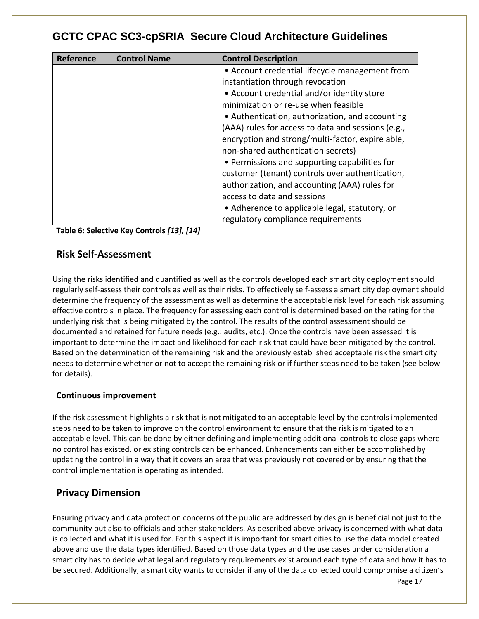| Reference | <b>Control Name</b> | <b>Control Description</b>                         |
|-----------|---------------------|----------------------------------------------------|
|           |                     | • Account credential lifecycle management from     |
|           |                     | instantiation through revocation                   |
|           |                     | • Account credential and/or identity store         |
|           |                     | minimization or re-use when feasible               |
|           |                     | • Authentication, authorization, and accounting    |
|           |                     | (AAA) rules for access to data and sessions (e.g., |
|           |                     | encryption and strong/multi-factor, expire able,   |
|           |                     | non-shared authentication secrets)                 |
|           |                     | • Permissions and supporting capabilities for      |
|           |                     | customer (tenant) controls over authentication,    |
|           |                     | authorization, and accounting (AAA) rules for      |
|           |                     | access to data and sessions                        |
|           |                     | • Adherence to applicable legal, statutory, or     |
|           |                     | regulatory compliance requirements                 |

<span id="page-16-0"></span>**Table 6: Selective Key Controls** *[13], [14]*

#### <span id="page-16-1"></span>**Risk Self-Assessment**

Using the risks identified and quantified as well as the controls developed each smart city deployment should regularly self-assess their controls as well as their risks. To effectively self-assess a smart city deployment should determine the frequency of the assessment as well as determine the acceptable risk level for each risk assuming effective controls in place. The frequency for assessing each control is determined based on the rating for the underlying risk that is being mitigated by the control. The results of the control assessment should be documented and retained for future needs (e.g.: audits, etc.). Once the controls have been assessed it is important to determine the impact and likelihood for each risk that could have been mitigated by the control. Based on the determination of the remaining risk and the previously established acceptable risk the smart city needs to determine whether or not to accept the remaining risk or if further steps need to be taken (see below for details).

#### <span id="page-16-2"></span>**Continuous improvement**

If the risk assessment highlights a risk that is not mitigated to an acceptable level by the controls implemented steps need to be taken to improve on the control environment to ensure that the risk is mitigated to an acceptable level. This can be done by either defining and implementing additional controls to close gaps where no control has existed, or existing controls can be enhanced. Enhancements can either be accomplished by updating the control in a way that it covers an area that was previously not covered or by ensuring that the control implementation is operating as intended.

#### <span id="page-16-3"></span>**Privacy Dimension**

Ensuring privacy and data protection concerns of the public are addressed by design is beneficial not just to the community but also to officials and other stakeholders. As described above privacy is concerned with what data is collected and what it is used for. For this aspect it is important for smart cities to use the data model created above and use the data types identified. Based on those data types and the use cases under consideration a smart city has to decide what legal and regulatory requirements exist around each type of data and how it has to be secured. Additionally, a smart city wants to consider if any of the data collected could compromise a citizen's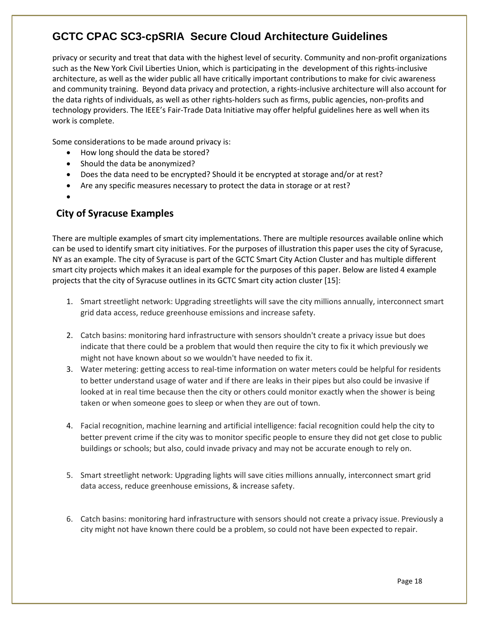privacy or security and treat that data with the highest level of security. Community and non-profit organizations such as the New York Civil Liberties Union, which is participating in the development of this rights-inclusive architecture, as well as the wider public all have critically important contributions to make for civic awareness and community training. Beyond data privacy and protection, a rights-inclusive architecture will also account for the data rights of individuals, as well as other rights-holders such as firms, public agencies, non-profits and technology providers. The IEEE's Fair-Trade Data Initiative may offer helpful guidelines here as well when its work is complete.

Some considerations to be made around privacy is:

- How long should the data be stored?
- Should the data be anonymized?
- Does the data need to be encrypted? Should it be encrypted at storage and/or at rest?
- Are any specific measures necessary to protect the data in storage or at rest?
- •

#### <span id="page-17-0"></span>**City of Syracuse Examples**

There are multiple examples of smart city implementations. There are multiple resources available online which can be used to identify smart city initiatives. For the purposes of illustration this paper uses the city of Syracuse, NY as an example. The city of Syracuse is part of the GCTC Smart City Action Cluster and has multiple different smart city projects which makes it an ideal example for the purposes of this paper. Below are listed 4 example projects that the city of Syracuse outlines in its GCTC Smart city action cluster [15]:

- 1. Smart streetlight network: Upgrading streetlights will save the city millions annually, interconnect smart grid data access, reduce greenhouse emissions and increase safety.
- 2. Catch basins: monitoring hard infrastructure with sensors shouldn't create a privacy issue but does indicate that there could be a problem that would then require the city to fix it which previously we might not have known about so we wouldn't have needed to fix it.
- 3. Water metering: getting access to real-time information on water meters could be helpful for residents to better understand usage of water and if there are leaks in their pipes but also could be invasive if looked at in real time because then the city or others could monitor exactly when the shower is being taken or when someone goes to sleep or when they are out of town.
- 4. Facial recognition, machine learning and artificial intelligence: facial recognition could help the city to better prevent crime if the city was to monitor specific people to ensure they did not get close to public buildings or schools; but also, could invade privacy and may not be accurate enough to rely on.
- 5. Smart streetlight network: Upgrading lights will save cities millions annually, interconnect smart grid data access, reduce greenhouse emissions, & increase safety.
- 6. Catch basins: monitoring hard infrastructure with sensors should not create a privacy issue. Previously a city might not have known there could be a problem, so could not have been expected to repair.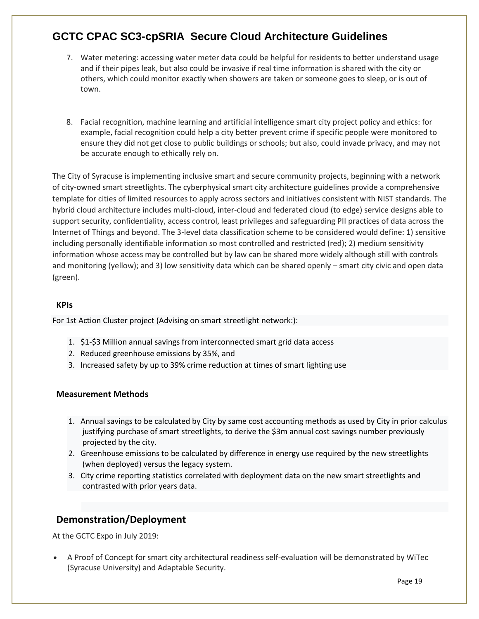- 7. Water metering: accessing water meter data could be helpful for residents to better understand usage and if their pipes leak, but also could be invasive if real time information is shared with the city or others, which could monitor exactly when showers are taken or someone goes to sleep, or is out of town.
- 8. Facial recognition, machine learning and artificial intelligence smart city project policy and ethics: for example, facial recognition could help a city better prevent crime if specific people were monitored to ensure they did not get close to public buildings or schools; but also, could invade privacy, and may not be accurate enough to ethically rely on.

The City of Syracuse is implementing inclusive smart and secure community projects, beginning with a network of city-owned smart streetlights. The cyberphysical smart city architecture guidelines provide a comprehensive template for cities of limited resources to apply across sectors and initiatives consistent with NIST standards. The hybrid cloud architecture includes multi-cloud, inter-cloud and federated cloud (to edge) service designs able to support security, confidentiality, access control, least privileges and safeguarding PII practices of data across the Internet of Things and beyond. The 3-level data classification scheme to be considered would define: 1) sensitive including personally identifiable information so most controlled and restricted (red); 2) medium sensitivity information whose access may be controlled but by law can be shared more widely although still with controls and monitoring (yellow); and 3) low sensitivity data which can be shared openly – smart city civic and open data (green).

#### <span id="page-18-0"></span>**KPIs**

For 1st Action Cluster project (Advising on smart streetlight network:):

- 1. \$1-\$3 Million annual savings from interconnected smart grid data access
- 2. Reduced greenhouse emissions by 35%, and
- 3. Increased safety by up to 39% crime reduction at times of smart lighting use

#### <span id="page-18-1"></span>**Measurement Methods**

- 1. Annual savings to be calculated by City by same cost accounting methods as used by City in prior calculus justifying purchase of smart streetlights, to derive the \$3m annual cost savings number previously projected by the city.
- 2. Greenhouse emissions to be calculated by difference in energy use required by the new streetlights (when deployed) versus the legacy system.
- 3. City crime reporting statistics correlated with deployment data on the new smart streetlights and contrasted with prior years data.

#### <span id="page-18-2"></span>**Demonstration/Deployment**

At the GCTC Expo in July 2019:

• A Proof of Concept for smart city architectural readiness self-evaluation will be demonstrated by WiTec (Syracuse University) and Adaptable Security.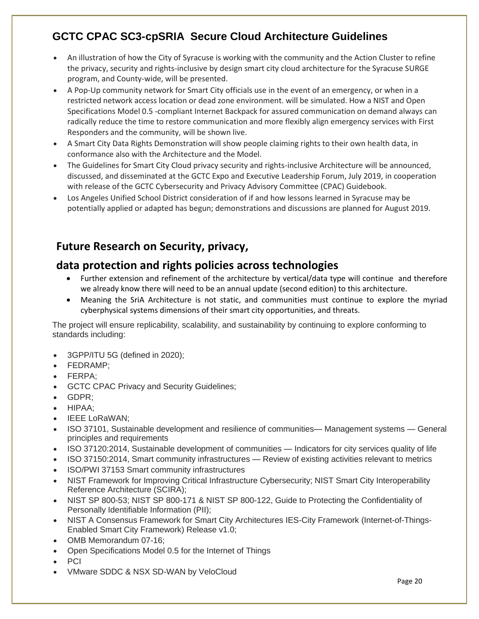- An illustration of how the City of Syracuse is working with the community and the Action Cluster to refine the privacy, security and rights-inclusive by design smart city cloud architecture for the Syracuse SURGE program, and County-wide, will be presented.
- A Pop-Up community network for Smart City officials use in the event of an emergency, or when in a restricted network access location or dead zone environment. will be simulated. How a NIST and Open Specifications Model 0.5 -compliant Internet Backpack for assured communication on demand always can radically reduce the time to restore communication and more flexibly align emergency services with First Responders and the community, will be shown live.
- A Smart City Data Rights Demonstration will show people claiming rights to their own health data, in conformance also with the Architecture and the Model.
- The Guidelines for Smart City Cloud privacy security and rights-inclusive Architecture will be announced, discussed, and disseminated at the GCTC Expo and Executive Leadership Forum, July 2019, in cooperation with release of the GCTC Cybersecurity and Privacy Advisory Committee (CPAC) Guidebook.
- Los Angeles Unified School District consideration of if and how lessons learned in Syracuse may be potentially applied or adapted has begun; demonstrations and discussions are planned for August 2019.

# <span id="page-19-0"></span>**Future Research on Security, privacy,**

# **data protection and rights policies across technologies**

- Further extension and refinement of the architecture by vertical/data type will continue and therefore we already know there will need to be an annual update (second edition) to this architecture.
- Meaning the SriA Architecture is not static, and communities must continue to explore the myriad cyberphysical systems dimensions of their smart city opportunities, and threats.

The project will ensure replicability, scalability, and sustainability by continuing to explore conforming to standards including:

- 3GPP/ITU 5G (defined in 2020);
- FEDRAMP;
- FERPA;
- GCTC CPAC Privacy and Security Guidelines;
- GDPR;
- HIPAA;
- IEEE LoRaWAN;
- ISO 37101, Sustainable development and resilience of communities— Management systems General principles and requirements
- ISO 37120:2014, Sustainable development of communities Indicators for city services quality of life
- ISO 37150:2014, Smart community infrastructures Review of existing activities relevant to metrics
- ISO/PWI 37153 Smart community infrastructures
- NIST Framework for Improving Critical Infrastructure Cybersecurity; NIST Smart City Interoperability Reference Architecture (SCIRA);
- NIST SP 800-53; NIST SP 800-171 & NIST SP 800-122, Guide to Protecting the Confidentiality of Personally Identifiable Information (PII);
- NIST A Consensus Framework for Smart City Architectures IES-City Framework (Internet-of-Things-Enabled Smart City Framework) Release v1.0;
- OMB Memorandum 07-16;
- Open Specifications Model 0.5 for the Internet of Things
- PCI
- VMware SDDC & NSX SD-WAN by VeloCloud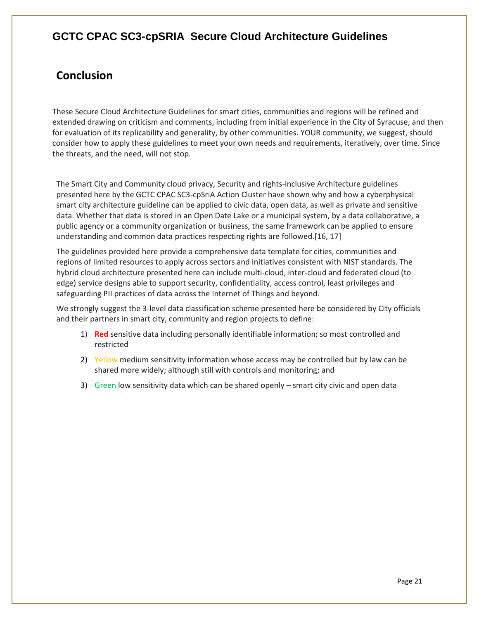# <span id="page-20-0"></span>**Conclusion**

These Secure Cloud Architecture Guidelines for smart cities, communities and regions will be refined and extended drawing on criticism and comments, including from initial experience in the City of Syracuse, and then for evaluation of its replicability and generality, by other communities. YOUR community, we suggest, should consider how to apply these guidelines to meet your own needs and requirements, iteratively, over time. Since the threats, and the need, will not stop.

The Smart City and Community cloud privacy, Security and rights-inclusive Architecture guidelines presented here by the GCTC CPAC SC3-cpSriA Action Cluster have shown why and how a cyberphysical smart city architecture guideline can be applied to civic data, open data, as well as private and sensitive data. Whether that data is stored in an Open Date Lake or a municipal system, by a data collaborative, a public agency or a community organization or business, the same framework can be applied to ensure understanding and common data practices respecting rights are followed.[16, 17]

The guidelines provided here provide a comprehensive data template for cities, communities and regions of limited resources to apply across sectors and initiatives consistent with NIST standards. The hybrid cloud architecture presented here can include multi-cloud, inter-cloud and federated cloud (to edge) service designs able to support security, confidentiality, access control, least privileges and safeguarding PII practices of data across the Internet of Things and beyond.

We strongly suggest the 3-level data classification scheme presented here be considered by City officials and their partners in smart city, community and region projects to define:

- 1) **Red** sensitive data including personally identifiable information; so most controlled and restricted
- 2) Yellow medium sensitivity information whose access may be controlled but by law can be shared more widely; although still with controls and monitoring; and
- 3) Green low sensitivity data which can be shared openly smart city civic and open data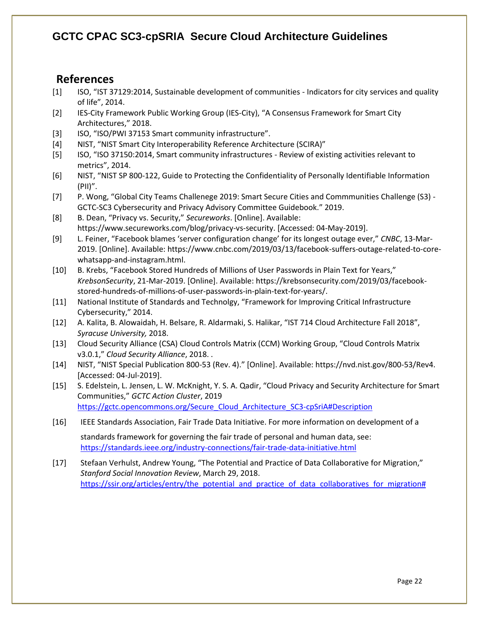#### <span id="page-21-0"></span>**References**

- [1] ISO, "IST 37129:2014, Sustainable development of communities Indicators for city services and quality of life", 2014.
- [2] IES-City Framework Public Working Group (IES-City), "A Consensus Framework for Smart City Architectures," 2018.
- [3] ISO, "ISO/PWI 37153 Smart community infrastructure".
- [4] NIST, "NIST Smart City Interoperability Reference Architecture (SCIRA)"
- [5] ISO, "ISO 37150:2014, Smart community infrastructures Review of existing activities relevant to metrics", 2014.
- [6] NIST, "NIST SP 800-122, Guide to Protecting the Confidentiality of Personally Identifiable Information (PII)".
- [7] P. Wong, "Global City Teams Challenege 2019: Smart Secure Cities and Commmunities Challenge (S3) GCTC-SC3 Cybersecurity and Privacy Advisory Committee Guidebook." 2019.
- [8] B. Dean, "Privacy vs. Security," *Secureworks*. [Online]. Available: https://www.secureworks.com/blog/privacy-vs-security. [Accessed: 04-May-2019].
- [9] L. Feiner, "Facebook blames 'server configuration change' for its longest outage ever," *CNBC*, 13-Mar-2019. [Online]. Available: https://www.cnbc.com/2019/03/13/facebook-suffers-outage-related-to-corewhatsapp-and-instagram.html.
- [10] B. Krebs, "Facebook Stored Hundreds of Millions of User Passwords in Plain Text for Years," *KrebsonSecurity*, 21-Mar-2019. [Online]. Available: https://krebsonsecurity.com/2019/03/facebookstored-hundreds-of-millions-of-user-passwords-in-plain-text-for-years/.
- [11] National Institute of Standards and Technolgy, "Framework for Improving Critical Infrastructure Cybersecurity," 2014.
- [12] A. Kalita, B. Alowaidah, H. Belsare, R. Aldarmaki, S. Halikar, "IST 714 Cloud Architecture Fall 2018", *Syracuse University,* 2018.
- [13] Cloud Security Alliance (CSA) Cloud Controls Matrix (CCM) Working Group, "Cloud Controls Matrix v3.0.1," *Cloud Security Alliance*, 2018. .
- [14] NIST, "NIST Special Publication 800-53 (Rev. 4)." [Online]. Available: https://nvd.nist.gov/800-53/Rev4. [Accessed: 04-Jul-2019].
- [15] S. Edelstein, L. Jensen, L. W. McKnight, Y. S. A. Qadir, "Cloud Privacy and Security Architecture for Smart Communities," *GCTC Action Cluster*, 2019 [https://gctc.opencommons.org/Secure\\_Cloud\\_Architecture\\_SC3-cpSriA#Description](https://gctc.opencommons.org/Secure_Cloud_Architecture_SC3-cpSriA#Description)
- [16] IEEE Standards Association, Fair Trade Data Initiative. For more information on development of a standards framework for governing the fair trade of personal and human data, see: <https://standards.ieee.org/industry-connections/fair-trade-data-initiative.html>
- [17] Stefaan Verhulst, Andrew Young, "The Potential and Practice of Data Collaborative for Migration," *Stanford Social Innovation Review*, March 29, 2018. [https://ssir.org/articles/entry/the\\_potential\\_and\\_practice\\_of\\_data\\_collaboratives\\_for\\_migration#](https://ssir.org/articles/entry/the_potential_and_practice_of_data_collaboratives_for_migration)